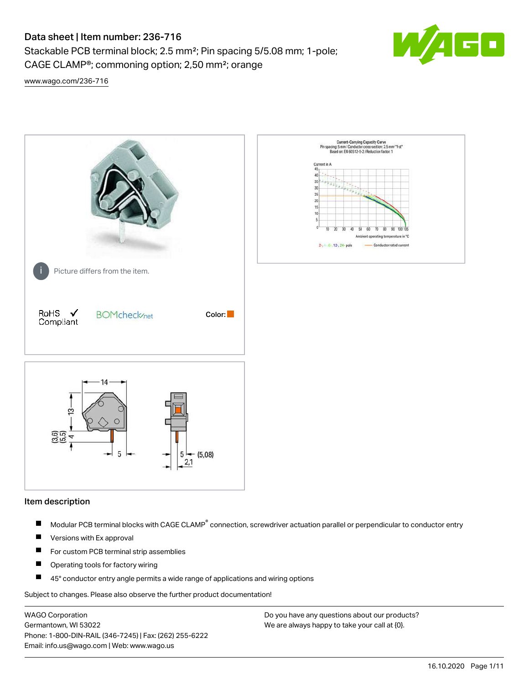Stackable PCB terminal block; 2.5 mm²; Pin spacing 5/5.08 mm; 1-pole; CAGE CLAMP®; commoning option; 2,50 mm²; orange



[www.wago.com/236-716](http://www.wago.com/236-716)



#### Item description

- Modular PCB terminal blocks with CAGE CLAMP<sup>®</sup> connection, screwdriver actuation parallel or perpendicular to conductor entry П
- $\blacksquare$ Versions with Ex approval
- П For custom PCB terminal strip assemblies
- $\blacksquare$ Operating tools for factory wiring
- $\blacksquare$ 45° conductor entry angle permits a wide range of applications and wiring options

Subject to changes. Please also observe the further product documentation!

WAGO Corporation Germantown, WI 53022 Phone: 1-800-DIN-RAIL (346-7245) | Fax: (262) 255-6222 Email: info.us@wago.com | Web: www.wago.us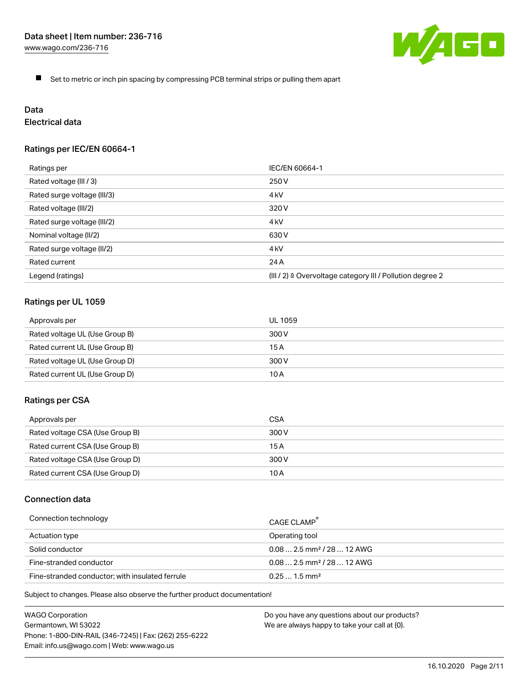

 $\blacksquare$ Set to metric or inch pin spacing by compressing PCB terminal strips or pulling them apart

# Data

# Electrical data

## Ratings per IEC/EN 60664-1

| Ratings per                 | IEC/EN 60664-1                                                        |
|-----------------------------|-----------------------------------------------------------------------|
| Rated voltage (III / 3)     | 250 V                                                                 |
| Rated surge voltage (III/3) | 4 <sub>kV</sub>                                                       |
| Rated voltage (III/2)       | 320 V                                                                 |
| Rated surge voltage (III/2) | 4 kV                                                                  |
| Nominal voltage (II/2)      | 630 V                                                                 |
| Rated surge voltage (II/2)  | 4 <sub>k</sub> V                                                      |
| Rated current               | 24 A                                                                  |
| Legend (ratings)            | $(III / 2)$ $\triangle$ Overvoltage category III / Pollution degree 2 |

## Ratings per UL 1059

| Approvals per                  | UL 1059 |
|--------------------------------|---------|
| Rated voltage UL (Use Group B) | 300 V   |
| Rated current UL (Use Group B) | 15 A    |
| Rated voltage UL (Use Group D) | 300 V   |
| Rated current UL (Use Group D) | 10 A    |

#### Ratings per CSA

| Approvals per                   | CSA   |
|---------------------------------|-------|
| Rated voltage CSA (Use Group B) | 300 V |
| Rated current CSA (Use Group B) | 15 A  |
| Rated voltage CSA (Use Group D) | 300 V |
| Rated current CSA (Use Group D) | 10 A  |

## Connection data

| Connection technology                           | CAGE CLAMP                              |
|-------------------------------------------------|-----------------------------------------|
| Actuation type                                  | Operating tool                          |
| Solid conductor                                 | $0.08$ 2.5 mm <sup>2</sup> / 28  12 AWG |
| Fine-stranded conductor                         | $0.082.5$ mm <sup>2</sup> / 28  12 AWG  |
| Fine-stranded conductor; with insulated ferrule | $0.251.5$ mm <sup>2</sup>               |

Subject to changes. Please also observe the further product documentation!

WAGO Corporation Germantown, WI 53022 Phone: 1-800-DIN-RAIL (346-7245) | Fax: (262) 255-6222 Email: info.us@wago.com | Web: www.wago.us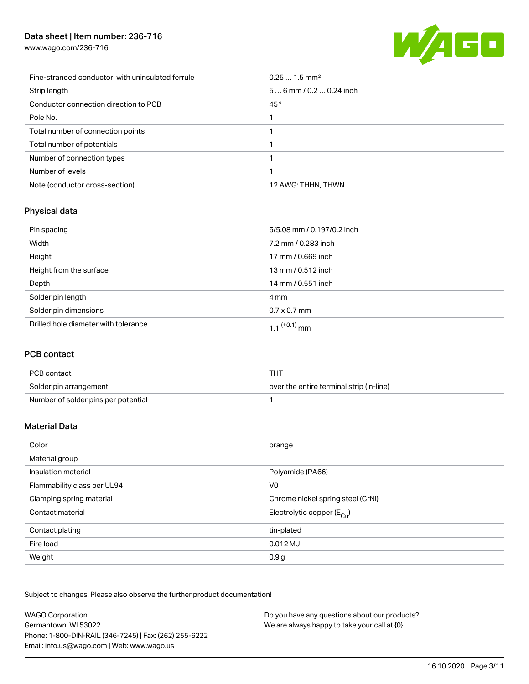[www.wago.com/236-716](http://www.wago.com/236-716)



| Fine-stranded conductor; with uninsulated ferrule | $0.251.5$ mm <sup>2</sup> |
|---------------------------------------------------|---------------------------|
| Strip length                                      | $56$ mm / 0.2  0.24 inch  |
| Conductor connection direction to PCB             | 45°                       |
| Pole No.                                          |                           |
| Total number of connection points                 |                           |
| Total number of potentials                        |                           |
| Number of connection types                        |                           |
| Number of levels                                  |                           |
| Note (conductor cross-section)                    | 12 AWG: THHN, THWN        |

## Physical data

| Pin spacing                          | 5/5.08 mm / 0.197/0.2 inch |
|--------------------------------------|----------------------------|
| Width                                | 7.2 mm / 0.283 inch        |
| Height                               | 17 mm / 0.669 inch         |
| Height from the surface              | 13 mm / 0.512 inch         |
| Depth                                | 14 mm / 0.551 inch         |
| Solder pin length                    | 4 mm                       |
| Solder pin dimensions                | $0.7 \times 0.7$ mm        |
| Drilled hole diameter with tolerance | $1.1$ <sup>(+0.1)</sup> mm |

## PCB contact

| PCB contact                         | тнт                                      |
|-------------------------------------|------------------------------------------|
| Solder pin arrangement              | over the entire terminal strip (in-line) |
| Number of solder pins per potential |                                          |

## Material Data

| Color                       | orange                                 |
|-----------------------------|----------------------------------------|
| Material group              |                                        |
| Insulation material         | Polyamide (PA66)                       |
| Flammability class per UL94 | V <sub>0</sub>                         |
| Clamping spring material    | Chrome nickel spring steel (CrNi)      |
| Contact material            | Electrolytic copper $(E_{\text{cut}})$ |
| Contact plating             | tin-plated                             |
| Fire load                   | $0.012$ MJ                             |
| Weight                      | 0.9 <sub>g</sub>                       |

Subject to changes. Please also observe the further product documentation!

| <b>WAGO Corporation</b>                                | Do you have any questions about our products? |
|--------------------------------------------------------|-----------------------------------------------|
| Germantown, WI 53022                                   | We are always happy to take your call at {0}. |
| Phone: 1-800-DIN-RAIL (346-7245)   Fax: (262) 255-6222 |                                               |
| Email: info.us@wago.com   Web: www.wago.us             |                                               |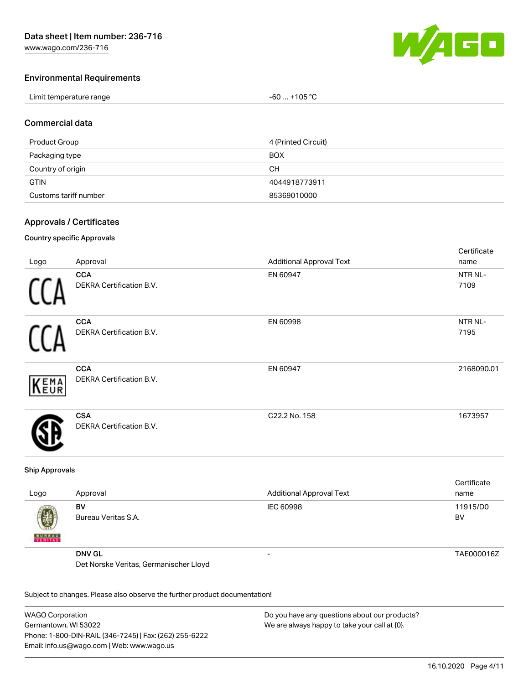

Cortificato

#### Environmental Requirements

| Limit temperature range | $-60+105 °C$ |
|-------------------------|--------------|
|-------------------------|--------------|

#### Commercial data

| Product Group         | 4 (Printed Circuit) |
|-----------------------|---------------------|
| Packaging type        | <b>BOX</b>          |
| Country of origin     | CН                  |
| <b>GTIN</b>           | 4044918773911       |
| Customs tariff number | 85369010000         |

#### Approvals / Certificates

#### Country specific Approvals

|      |                                               |                                 | <b>OCI UITUALE</b> |
|------|-----------------------------------------------|---------------------------------|--------------------|
| Logo | Approval                                      | <b>Additional Approval Text</b> | name               |
|      | <b>CCA</b><br>DEKRA Certification B.V.        | EN 60947                        | NTR NL-<br>7109    |
|      | <b>CCA</b><br>DEKRA Certification B.V.        | EN 60998                        | NTR NL-<br>7195    |
| KEMA | <b>CCA</b><br>DEKRA Certification B.V.        | EN 60947                        | 2168090.01         |
|      | <b>CSA</b><br><b>DEKRA Certification B.V.</b> | C22.2 No. 158                   | 1673957            |
|      |                                               |                                 |                    |

#### Ship Approvals

| Logo               | Approval                               | <b>Additional Approval Text</b> | Certificate<br>name |
|--------------------|----------------------------------------|---------------------------------|---------------------|
| Ø<br><b>BUREAU</b> | BV<br>Bureau Veritas S.A.              | IEC 60998                       | 11915/D0<br>BV      |
|                    | <b>DNV GL</b>                          | -                               | TAE000016Z          |
|                    | Det Norske Veritas, Germanischer Lloyd |                                 |                     |

Subject to changes. Please also observe the further product documentation!

WAGO Corporation Germantown, WI 53022 Phone: 1-800-DIN-RAIL (346-7245) | Fax: (262) 255-6222 Email: info.us@wago.com | Web: www.wago.us Do you have any questions about our products? We are always happy to take your call at {0}.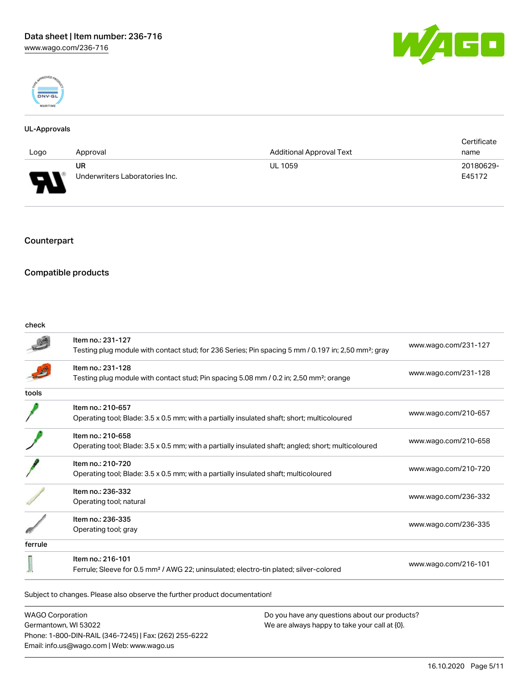



#### UL-Approvals

|                                                                |                                |                                 | Certificate |
|----------------------------------------------------------------|--------------------------------|---------------------------------|-------------|
| Logo                                                           | Approval                       | <b>Additional Approval Text</b> | name        |
|                                                                | <b>UR</b>                      | <b>UL 1059</b>                  | 20180629-   |
| $\Box$<br>$\overline{\phantom{a}}$<br>$\overline{\phantom{a}}$ | Underwriters Laboratories Inc. |                                 | E45172      |

## Counterpart

### Compatible products

#### check

|         | Item no.: 231-127<br>Testing plug module with contact stud; for 236 Series; Pin spacing 5 mm / 0.197 in; 2,50 mm <sup>2</sup> ; gray | www.wago.com/231-127 |
|---------|--------------------------------------------------------------------------------------------------------------------------------------|----------------------|
|         |                                                                                                                                      |                      |
|         | Item no.: 231-128                                                                                                                    | www.wago.com/231-128 |
|         | Testing plug module with contact stud; Pin spacing 5.08 mm / 0.2 in; 2,50 mm <sup>2</sup> ; orange                                   |                      |
| tools   |                                                                                                                                      |                      |
|         | Item no.: 210-657                                                                                                                    |                      |
|         | Operating tool; Blade: 3.5 x 0.5 mm; with a partially insulated shaft; short; multicoloured                                          | www.wago.com/210-657 |
|         | Item no.: 210-658                                                                                                                    |                      |
|         | Operating tool; Blade: 3.5 x 0.5 mm; with a partially insulated shaft; angled; short; multicoloured                                  | www.wago.com/210-658 |
|         | Item no.: 210-720                                                                                                                    |                      |
|         | Operating tool; Blade: 3.5 x 0.5 mm; with a partially insulated shaft; multicoloured                                                 | www.wago.com/210-720 |
|         | Item no.: 236-332                                                                                                                    |                      |
|         | Operating tool; natural                                                                                                              | www.wago.com/236-332 |
|         | Item no.: 236-335                                                                                                                    |                      |
|         |                                                                                                                                      | www.wago.com/236-335 |
|         | Operating tool; gray                                                                                                                 |                      |
| ferrule |                                                                                                                                      |                      |
|         | Item no.: 216-101                                                                                                                    |                      |
|         | Ferrule; Sleeve for 0.5 mm <sup>2</sup> / AWG 22; uninsulated; electro-tin plated; silver-colored                                    | www.wago.com/216-101 |

WAGO Corporation Germantown, WI 53022 Phone: 1-800-DIN-RAIL (346-7245) | Fax: (262) 255-6222 Email: info.us@wago.com | Web: www.wago.us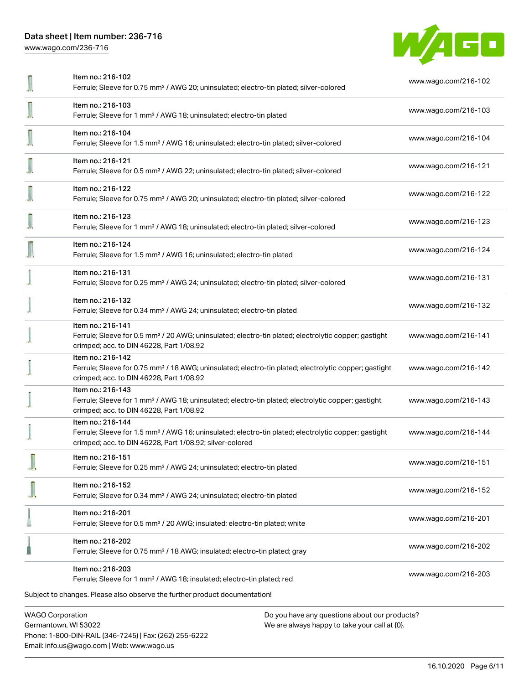[www.wago.com/236-716](http://www.wago.com/236-716)



| <b>WAGO Corporation</b>                                                                                                                                                                           | Do you have any questions about our products? |  |
|---------------------------------------------------------------------------------------------------------------------------------------------------------------------------------------------------|-----------------------------------------------|--|
| Ferrule; Sleeve for 1 mm <sup>2</sup> / AWG 18; insulated; electro-tin plated; red<br>Subject to changes. Please also observe the further product documentation!                                  | www.wago.com/216-203                          |  |
| Item no.: 216-202<br>Ferrule; Sleeve for 0.75 mm <sup>2</sup> / 18 AWG; insulated; electro-tin plated; gray<br>Item no.: 216-203                                                                  | www.wago.com/216-202                          |  |
| Item no.: 216-201<br>Ferrule; Sleeve for 0.5 mm <sup>2</sup> / 20 AWG; insulated; electro-tin plated; white                                                                                       | www.wago.com/216-201                          |  |
| Item no.: 216-152<br>Ferrule; Sleeve for 0.34 mm <sup>2</sup> / AWG 24; uninsulated; electro-tin plated                                                                                           | www.wago.com/216-152                          |  |
| Item no.: 216-151<br>Ferrule; Sleeve for 0.25 mm <sup>2</sup> / AWG 24; uninsulated; electro-tin plated                                                                                           | www.wago.com/216-151                          |  |
| Item no.: 216-144<br>Ferrule; Sleeve for 1.5 mm <sup>2</sup> / AWG 16; uninsulated; electro-tin plated; electrolytic copper; gastight<br>crimped; acc. to DIN 46228, Part 1/08.92; silver-colored | www.wago.com/216-144                          |  |
| Item no.: 216-143<br>Ferrule; Sleeve for 1 mm <sup>2</sup> / AWG 18; uninsulated; electro-tin plated; electrolytic copper; gastight<br>crimped; acc. to DIN 46228, Part 1/08.92                   | www.wago.com/216-143                          |  |
| Item no.: 216-142<br>Ferrule; Sleeve for 0.75 mm <sup>2</sup> / 18 AWG; uninsulated; electro-tin plated; electrolytic copper; gastight<br>crimped; acc. to DIN 46228, Part 1/08.92                | www.wago.com/216-142                          |  |
| Item no.: 216-141<br>Ferrule; Sleeve for 0.5 mm <sup>2</sup> / 20 AWG; uninsulated; electro-tin plated; electrolytic copper; gastight<br>crimped; acc. to DIN 46228, Part 1/08.92                 | www.wago.com/216-141                          |  |
| Item no.: 216-132<br>Ferrule; Sleeve for 0.34 mm <sup>2</sup> / AWG 24; uninsulated; electro-tin plated                                                                                           | www.wago.com/216-132                          |  |
| Item no.: 216-131<br>Ferrule; Sleeve for 0.25 mm <sup>2</sup> / AWG 24; uninsulated; electro-tin plated; silver-colored                                                                           | www.wago.com/216-131                          |  |
| Item no.: 216-124<br>Ferrule; Sleeve for 1.5 mm <sup>2</sup> / AWG 16; uninsulated; electro-tin plated                                                                                            | www.wago.com/216-124                          |  |
| Item no.: 216-123<br>Ferrule; Sleeve for 1 mm <sup>2</sup> / AWG 18; uninsulated; electro-tin plated; silver-colored                                                                              | www.wago.com/216-123                          |  |
| Item no.: 216-122<br>Ferrule; Sleeve for 0.75 mm <sup>2</sup> / AWG 20; uninsulated; electro-tin plated; silver-colored                                                                           | www.wago.com/216-122                          |  |
| Item no.: 216-121<br>Ferrule; Sleeve for 0.5 mm <sup>2</sup> / AWG 22; uninsulated; electro-tin plated; silver-colored                                                                            | www.wago.com/216-121                          |  |
| Item no.: 216-104<br>Ferrule; Sleeve for 1.5 mm <sup>2</sup> / AWG 16; uninsulated; electro-tin plated; silver-colored                                                                            | www.wago.com/216-104                          |  |
| Item no.: 216-103<br>Ferrule; Sleeve for 1 mm <sup>2</sup> / AWG 18; uninsulated; electro-tin plated                                                                                              | www.wago.com/216-103                          |  |
| Item no.: 216-102<br>Ferrule; Sleeve for 0.75 mm <sup>2</sup> / AWG 20; uninsulated; electro-tin plated; silver-colored                                                                           | www.wago.com/216-102                          |  |

Germantown, WI 53022 Phone: 1-800-DIN-RAIL (346-7245) | Fax: (262) 255-6222 Email: info.us@wago.com | Web: www.wago.us

We are always happy to take your call at {0}.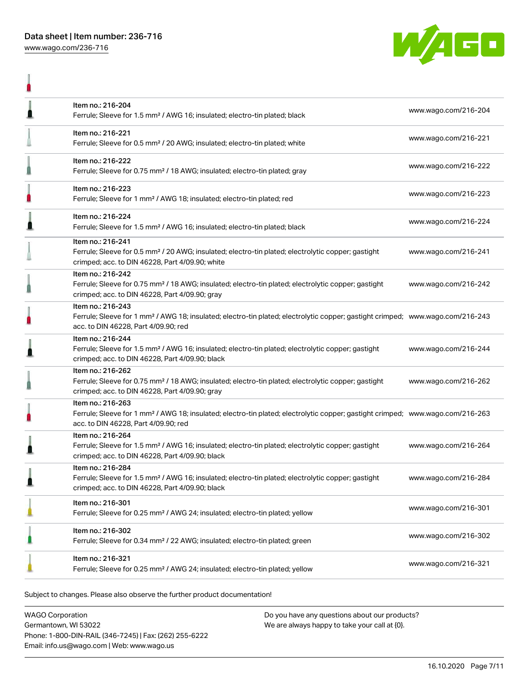

|   | Item no.: 216-204<br>Ferrule; Sleeve for 1.5 mm <sup>2</sup> / AWG 16; insulated; electro-tin plated; black                                                                                             | www.wago.com/216-204 |
|---|---------------------------------------------------------------------------------------------------------------------------------------------------------------------------------------------------------|----------------------|
|   | Item no.: 216-221<br>Ferrule; Sleeve for 0.5 mm <sup>2</sup> / 20 AWG; insulated; electro-tin plated; white                                                                                             | www.wago.com/216-221 |
|   | Item no.: 216-222<br>Ferrule; Sleeve for 0.75 mm <sup>2</sup> / 18 AWG; insulated; electro-tin plated; gray                                                                                             | www.wago.com/216-222 |
|   | Item no.: 216-223<br>Ferrule; Sleeve for 1 mm <sup>2</sup> / AWG 18; insulated; electro-tin plated; red                                                                                                 | www.wago.com/216-223 |
| ∎ | Item no.: 216-224<br>Ferrule; Sleeve for 1.5 mm <sup>2</sup> / AWG 16; insulated; electro-tin plated; black                                                                                             | www.wago.com/216-224 |
|   | Item no.: 216-241<br>Ferrule; Sleeve for 0.5 mm <sup>2</sup> / 20 AWG; insulated; electro-tin plated; electrolytic copper; gastight<br>crimped; acc. to DIN 46228, Part 4/09.90; white                  | www.wago.com/216-241 |
|   | Item no.: 216-242<br>Ferrule; Sleeve for 0.75 mm <sup>2</sup> / 18 AWG; insulated; electro-tin plated; electrolytic copper; gastight<br>crimped; acc. to DIN 46228, Part 4/09.90; gray                  | www.wago.com/216-242 |
|   | Item no.: 216-243<br>Ferrule; Sleeve for 1 mm <sup>2</sup> / AWG 18; insulated; electro-tin plated; electrolytic copper; gastight crimped; www.wago.com/216-243<br>acc. to DIN 46228, Part 4/09.90; red |                      |
|   | Item no.: 216-244<br>Ferrule; Sleeve for 1.5 mm <sup>2</sup> / AWG 16; insulated; electro-tin plated; electrolytic copper; gastight<br>crimped; acc. to DIN 46228, Part 4/09.90; black                  | www.wago.com/216-244 |
|   | Item no.: 216-262<br>Ferrule; Sleeve for 0.75 mm <sup>2</sup> / 18 AWG; insulated; electro-tin plated; electrolytic copper; gastight<br>crimped; acc. to DIN 46228, Part 4/09.90; gray                  | www.wago.com/216-262 |
|   | Item no.: 216-263<br>Ferrule; Sleeve for 1 mm <sup>2</sup> / AWG 18; insulated; electro-tin plated; electrolytic copper; gastight crimped; www.wago.com/216-263<br>acc. to DIN 46228, Part 4/09.90; red |                      |
|   | Item no.: 216-264<br>Ferrule; Sleeve for 1.5 mm <sup>2</sup> / AWG 16; insulated; electro-tin plated; electrolytic copper; gastight<br>crimped; acc. to DIN 46228, Part 4/09.90; black                  | www.wago.com/216-264 |
|   | Item no.: 216-284<br>Ferrule; Sleeve for 1.5 mm <sup>2</sup> / AWG 16; insulated; electro-tin plated; electrolytic copper; gastight<br>crimped; acc. to DIN 46228, Part 4/09.90; black                  | www.wago.com/216-284 |
|   | Item no.: 216-301<br>Ferrule; Sleeve for 0.25 mm <sup>2</sup> / AWG 24; insulated; electro-tin plated; yellow                                                                                           | www.wago.com/216-301 |
|   | Item no.: 216-302<br>Ferrule; Sleeve for 0.34 mm <sup>2</sup> / 22 AWG; insulated; electro-tin plated; green                                                                                            | www.wago.com/216-302 |
|   | Item no.: 216-321<br>Ferrule; Sleeve for 0.25 mm <sup>2</sup> / AWG 24; insulated; electro-tin plated; yellow                                                                                           | www.wago.com/216-321 |
|   |                                                                                                                                                                                                         |                      |

Subject to changes. Please also observe the further product documentation!

WAGO Corporation Germantown, WI 53022 Phone: 1-800-DIN-RAIL (346-7245) | Fax: (262) 255-6222 Email: info.us@wago.com | Web: www.wago.us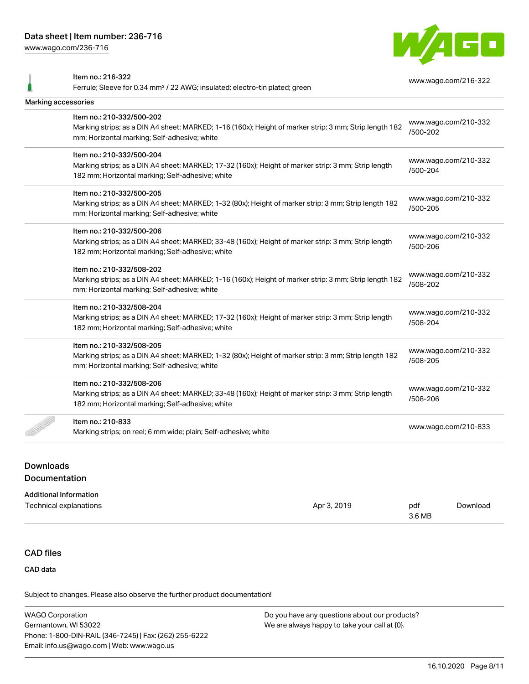[www.wago.com/236-716](http://www.wago.com/236-716)



Item no.: 216-322 Ferrule; Sleeve for 0.34 mm² / 22 AWG; insulated; electro-tin plated; green [www.wago.com/216-322](http://www.wago.com/216-322) Marking accessories Item no.: 210-332/500-202 Marking strips; as a DIN A4 sheet; MARKED; 1-16 (160x); Height of marker strip: 3 mm; Strip length 182 mm; Horizontal marking; Self-adhesive; white [www.wago.com/210-332](http://www.wago.com/210-332/500-202) [/500-202](http://www.wago.com/210-332/500-202) Item no.: 210-332/500-204 Marking strips; as a DIN A4 sheet; MARKED; 17-32 (160x); Height of marker strip: 3 mm; Strip length 182 mm; Horizontal marking; Self-adhesive; white [www.wago.com/210-332](http://www.wago.com/210-332/500-204) [/500-204](http://www.wago.com/210-332/500-204) Item no.: 210-332/500-205 Marking strips; as a DIN A4 sheet; MARKED; 1-32 (80x); Height of marker strip: 3 mm; Strip length 182 mm; Horizontal marking; Self-adhesive; white [www.wago.com/210-332](http://www.wago.com/210-332/500-205) [/500-205](http://www.wago.com/210-332/500-205) Item no.: 210-332/500-206 Marking strips; as a DIN A4 sheet; MARKED; 33-48 (160x); Height of marker strip: 3 mm; Strip length 182 mm; Horizontal marking; Self-adhesive; white [www.wago.com/210-332](http://www.wago.com/210-332/500-206) [/500-206](http://www.wago.com/210-332/500-206) Item no.: 210-332/508-202 Marking strips; as a DIN A4 sheet; MARKED; 1-16 (160x); Height of marker strip: 3 mm; Strip length 182 mm; Horizontal marking; Self-adhesive; white [www.wago.com/210-332](http://www.wago.com/210-332/508-202) [/508-202](http://www.wago.com/210-332/508-202) Item no.: 210-332/508-204 Marking strips; as a DIN A4 sheet; MARKED; 17-32 (160x); Height of marker strip: 3 mm; Strip length 182 mm; Horizontal marking; Self-adhesive; white [www.wago.com/210-332](http://www.wago.com/210-332/508-204) [/508-204](http://www.wago.com/210-332/508-204) Item no.: 210-332/508-205 Marking strips; as a DIN A4 sheet; MARKED; 1-32 (80x); Height of marker strip: 3 mm; Strip length 182 mm; Horizontal marking; Self-adhesive; white [www.wago.com/210-332](http://www.wago.com/210-332/508-205) [/508-205](http://www.wago.com/210-332/508-205) Item no.: 210-332/508-206 Marking strips; as a DIN A4 sheet; MARKED; 33-48 (160x); Height of marker strip: 3 mm; Strip length 182 mm; Horizontal marking; Self-adhesive; white [www.wago.com/210-332](http://www.wago.com/210-332/508-206) [/508-206](http://www.wago.com/210-332/508-206) Item no.: 210-833 Marking strips; on reel; 6 mm wide; plain; Self-adhesive; white [www.wago.com/210-833](http://www.wago.com/210-833)<br>Marking strips; on reel; 6 mm wide; plain; Self-adhesive; white

## Downloads Documentation

#### Additional Information

| Technical explanations | Apr 3, 2019 | pdf    | Download |
|------------------------|-------------|--------|----------|
|                        |             | 3.6 MB |          |

### CAD files

CAD data

Subject to changes. Please also observe the further product documentation!

WAGO Corporation Germantown, WI 53022 Phone: 1-800-DIN-RAIL (346-7245) | Fax: (262) 255-6222 Email: info.us@wago.com | Web: www.wago.us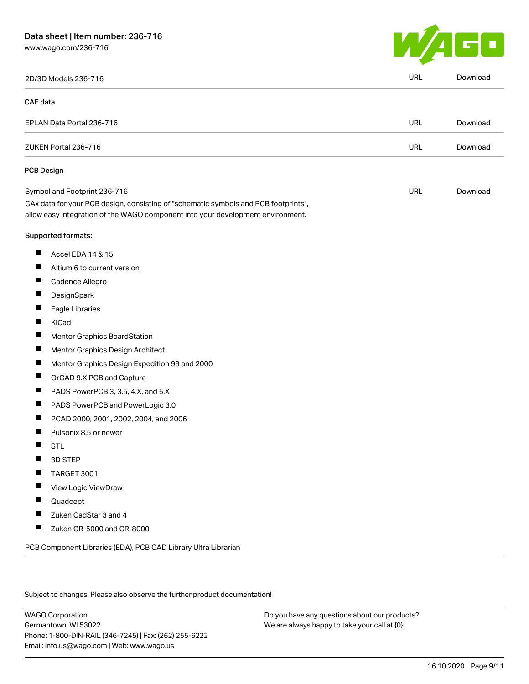[www.wago.com/236-716](http://www.wago.com/236-716)



| 2D/3D Models 236-716                                                                                                                                                   | <b>URL</b> | Download |
|------------------------------------------------------------------------------------------------------------------------------------------------------------------------|------------|----------|
| <b>CAE</b> data                                                                                                                                                        |            |          |
| EPLAN Data Portal 236-716                                                                                                                                              | <b>URL</b> | Download |
| ZUKEN Portal 236-716                                                                                                                                                   | URL        | Download |
| PCB Design                                                                                                                                                             |            |          |
| Symbol and Footprint 236-716                                                                                                                                           | <b>URL</b> | Download |
| CAx data for your PCB design, consisting of "schematic symbols and PCB footprints",<br>allow easy integration of the WAGO component into your development environment. |            |          |
| Supported formats:                                                                                                                                                     |            |          |
| Ш<br>Accel EDA 14 & 15                                                                                                                                                 |            |          |
| H<br>Altium 6 to current version                                                                                                                                       |            |          |
| Cadence Allegro                                                                                                                                                        |            |          |
| H<br>DesignSpark                                                                                                                                                       |            |          |
| Eagle Libraries<br>H                                                                                                                                                   |            |          |
| KiCad                                                                                                                                                                  |            |          |
| <b>Mentor Graphics BoardStation</b>                                                                                                                                    |            |          |
| H<br>Mentor Graphics Design Architect                                                                                                                                  |            |          |
| Mentor Graphics Design Expedition 99 and 2000                                                                                                                          |            |          |
| H<br>OrCAD 9.X PCB and Capture                                                                                                                                         |            |          |
| PADS PowerPCB 3, 3.5, 4.X, and 5.X                                                                                                                                     |            |          |
| PADS PowerPCB and PowerLogic 3.0                                                                                                                                       |            |          |
| PCAD 2000, 2001, 2002, 2004, and 2006                                                                                                                                  |            |          |
| Pulsonix 8.5 or newer                                                                                                                                                  |            |          |
| <b>STL</b><br>Ш                                                                                                                                                        |            |          |
| H<br>3D STEP                                                                                                                                                           |            |          |
| TARGET 3001!                                                                                                                                                           |            |          |
| View Logic ViewDraw                                                                                                                                                    |            |          |
| Quadcept                                                                                                                                                               |            |          |
| Zuken CadStar 3 and 4                                                                                                                                                  |            |          |
| Zuken CR-5000 and CR-8000                                                                                                                                              |            |          |
| PCB Component Libraries (EDA), PCB CAD Library Ultra Librarian                                                                                                         |            |          |

Subject to changes. Please also observe the further product documentation!

WAGO Corporation Germantown, WI 53022 Phone: 1-800-DIN-RAIL (346-7245) | Fax: (262) 255-6222 Email: info.us@wago.com | Web: www.wago.us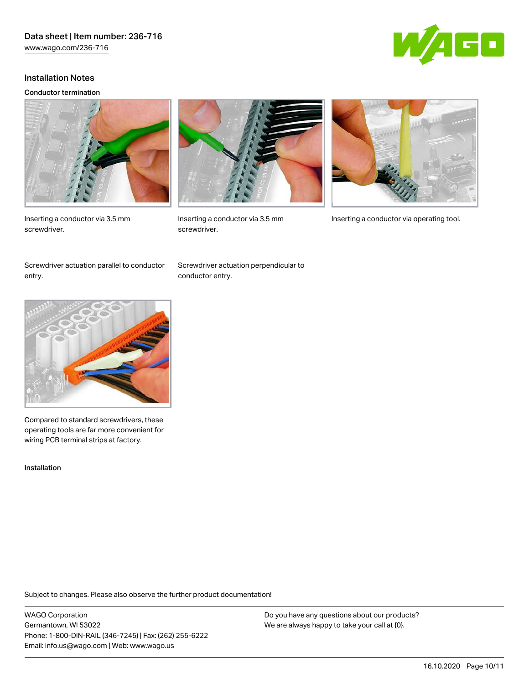

#### Installation Notes

#### Conductor termination



Inserting a conductor via 3.5 mm screwdriver.



screwdriver.



Inserting a conductor via 3.5 mm Inserting a conductor via operating tool.

Screwdriver actuation parallel to conductor entry.

Screwdriver actuation perpendicular to conductor entry.



Compared to standard screwdrivers, these operating tools are far more convenient for wiring PCB terminal strips at factory.

Installation

Subject to changes. Please also observe the further product documentation!

WAGO Corporation Germantown, WI 53022 Phone: 1-800-DIN-RAIL (346-7245) | Fax: (262) 255-6222 Email: info.us@wago.com | Web: www.wago.us